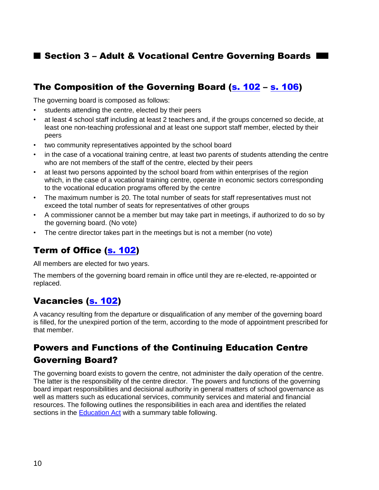## Section 3 – Adult & Vocational Centre Governing Boards

## The Composition of the Governing Board (s. [102](http://www2.publicationsduquebec.gouv.qc.ca/dynamicSearch/telecharge.php?type=2&file=/I_13_3/I13_3_A.html#s102) – [s. 106\)](http://www2.publicationsduquebec.gouv.qc.ca/dynamicSearch/telecharge.php?type=2&file=/I_13_3/I13_3_A.html#s106)

The governing board is composed as follows:

- students attending the centre, elected by their peers
- at least 4 school staff including at least 2 teachers and, if the groups concerned so decide, at least one non-teaching professional and at least one support staff member, elected by their peers
- two community representatives appointed by the school board
- in the case of a vocational training centre, at least two parents of students attending the centre who are not members of the staff of the centre, elected by their peers
- at least two persons appointed by the school board from within enterprises of the region which, in the case of a vocational training centre, operate in economic sectors corresponding to the vocational education programs offered by the centre
- The maximum number is 20. The total number of seats for staff representatives must not exceed the total number of seats for representatives of other groups
- A commissioner cannot be a member but may take part in meetings, if authorized to do so by the governing board. (No vote)
- The centre director takes part in the meetings but is not a member (no vote)

## Term of Office [\(s. 102\)](http://www2.publicationsduquebec.gouv.qc.ca/dynamicSearch/telecharge.php?type=2&file=/I_13_3/I13_3_A.html#s102)

All members are elected for two years.

The members of the governing board remain in office until they are re-elected, re-appointed or replaced.

## Vacancies [\(s. 102\)](http://www2.publicationsduquebec.gouv.qc.ca/dynamicSearch/telecharge.php?type=2&file=/I_13_3/I13_3_A.html#s102)

A vacancy resulting from the departure or disqualification of any member of the governing board is filled, for the unexpired portion of the term, according to the mode of appointment prescribed for that member.

# Powers and Functions of the Continuing Education Centre Governing Board?

The governing board exists to govern the centre, not administer the daily operation of the centre. The latter is the responsibility of the centre director. The powers and functions of the governing board impart responsibilities and decisional authority in general matters of school governance as well as matters such as educational services, community services and material and financial resources. The following outlines the responsibilities in each area and identifies the related sections in the [Education Act](http://www2.publicationsduquebec.gouv.qc.ca/dynamicSearch/telecharge.php?type=2&file=/I_13_3/I13_3_A.html) with a summary table following.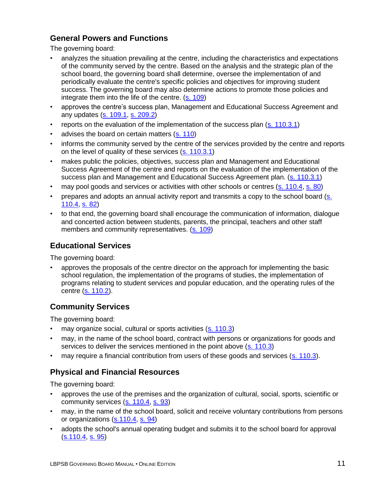### **General Powers and Functions**

The governing board:

- analyzes the situation prevailing at the centre, including the characteristics and expectations of the community served by the centre. Based on the analysis and the strategic plan of the school board, the governing board shall determine, oversee the implementation of and periodically evaluate the centre's specific policies and objectives for improving student success. The governing board may also determine actions to promote those policies and integrate them into the life of the centre. [\(s. 109\)](http://www2.publicationsduquebec.gouv.qc.ca/dynamicSearch/telecharge.php?type=2&file=/I_13_3/I13_3_A.html#s109)
- approves the centre's success plan, Management and Educational Success Agreement and any updates [\(s. 109.1,](http://www2.publicationsduquebec.gouv.qc.ca/dynamicSearch/telecharge.php?type=2&file=/I_13_3/I13_3_A.html#s109.1) [s. 209.2\)](http://www2.publicationsduquebec.gouv.qc.ca/dynamicSearch/telecharge.php?type=2&file=/I_13_3/I13_3_A.html#s209.2)
- reports on the evaluation of the implementation of the success plan [\(s. 110.3.1\)](http://www2.publicationsduquebec.gouv.qc.ca/dynamicSearch/telecharge.php?type=2&file=/I_13_3/I13_3_A.html#s110.3.1)
- advises the board on certain matters [\(s. 110\)](http://www2.publicationsduquebec.gouv.qc.ca/dynamicSearch/telecharge.php?type=2&file=/I_13_3/I13_3_A.html#s110)
- informs the community served by the centre of the services provided by the centre and reports on the level of quality of these services [\(s. 110.3.1\)](http://www2.publicationsduquebec.gouv.qc.ca/dynamicSearch/telecharge.php?type=2&file=/I_13_3/I13_3_A.html#s110.3.1)
- makes public the policies, objectives, success plan and Management and Educational Success Agreement of the centre and reports on the evaluation of the implementation of the success plan and Management and Educational Success Agreement plan. [\(s. 110.3.1\)](http://www2.publicationsduquebec.gouv.qc.ca/dynamicSearch/telecharge.php?type=2&file=/I_13_3/I13_3_A.html#s110.3.1)
- may pool goods and services or activities with other schools or centres [\(s. 110.4,](http://www2.publicationsduquebec.gouv.qc.ca/dynamicSearch/telecharge.php?type=2&file=/I_13_3/I13_3_A.html#s110.4) [s. 80\)](http://www2.publicationsduquebec.gouv.qc.ca/dynamicSearch/telecharge.php?type=2&file=/I_13_3/I13_3_A.html#s80)
- prepares and adopts an annual activity report and transmits a copy to the school board [\(s.](http://www2.publicationsduquebec.gouv.qc.ca/dynamicSearch/telecharge.php?type=2&file=/I_13_3/I13_3_A.html#s110.4)  [110.4,](http://www2.publicationsduquebec.gouv.qc.ca/dynamicSearch/telecharge.php?type=2&file=/I_13_3/I13_3_A.html#s110.4) [s. 82\)](http://www2.publicationsduquebec.gouv.qc.ca/dynamicSearch/telecharge.php?type=2&file=/I_13_3/I13_3_A.html#s82)
- to that end, the governing board shall encourage the communication of information, dialogue and concerted action between students, parents, the principal, teachers and other staff members and community representatives. [\(s. 109\)](http://www2.publicationsduquebec.gouv.qc.ca/dynamicSearch/telecharge.php?type=2&file=/I_13_3/I13_3_A.html#s109)

### **Educational Services**

The governing board:

• approves the proposals of the centre director on the approach for implementing the basic school regulation, the implementation of the programs of studies, the implementation of programs relating to student services and popular education, and the operating rules of the centre [\(s. 110.2\)](http://www2.publicationsduquebec.gouv.qc.ca/dynamicSearch/telecharge.php?type=2&file=/I_13_3/I13_3_A.html#s110.2).

### **Community Services**

The governing board:

- may organize social, cultural or sports activities [\(s. 110.3\)](http://www2.publicationsduquebec.gouv.qc.ca/dynamicSearch/telecharge.php?type=2&file=/I_13_3/I13_3_A.html#s110.3)
- may, in the name of the school board, contract with persons or organizations for goods and services to deliver the services mentioned in the point above [\(s. 110.3\)](http://www2.publicationsduquebec.gouv.qc.ca/dynamicSearch/telecharge.php?type=2&file=/I_13_3/I13_3_A.html#s110.3)
- may require a financial contribution from users of these goods and services [\(s. 110.3\)](http://www2.publicationsduquebec.gouv.qc.ca/dynamicSearch/telecharge.php?type=2&file=/I_13_3/I13_3_A.html#s110.3).

## **Physical and Financial Resources**

The governing board:

- approves the use of the premises and the organization of cultural, social, sports, scientific or community services [\(s. 110.4,](http://www2.publicationsduquebec.gouv.qc.ca/dynamicSearch/telecharge.php?type=2&file=/I_13_3/I13_3_A.html#s110.4) [s. 93\)](http://www2.publicationsduquebec.gouv.qc.ca/dynamicSearch/telecharge.php?type=2&file=/I_13_3/I13_3_A.html#s93)
- may, in the name of the school board, solicit and receive voluntary contributions from persons or organizations [\(s.110.4,](http://www2.publicationsduquebec.gouv.qc.ca/dynamicSearch/telecharge.php?type=2&file=/I_13_3/I13_3_A.html#s110.4) [s. 94\)](http://www2.publicationsduquebec.gouv.qc.ca/dynamicSearch/telecharge.php?type=2&file=/I_13_3/I13_3_A.html#s94)
- adopts the school's annual operating budget and submits it to the school board for approval [\(s.110.4,](http://www2.publicationsduquebec.gouv.qc.ca/dynamicSearch/telecharge.php?type=2&file=/I_13_3/I13_3_A.html#s110.4) [s. 95\)](http://www2.publicationsduquebec.gouv.qc.ca/dynamicSearch/telecharge.php?type=2&file=/I_13_3/I13_3_A.html#s95)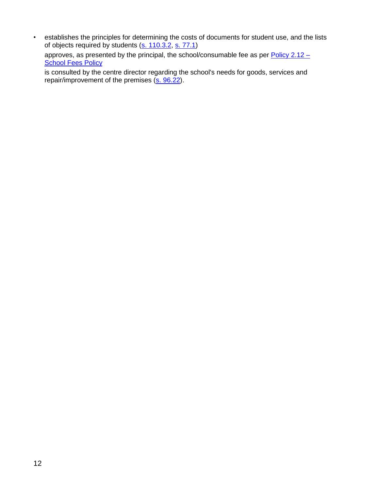• establishes the principles for determining the costs of documents for student use, and the lists of objects required by students [\(s. 110.3.2,](http://www2.publicationsduquebec.gouv.qc.ca/dynamicSearch/telecharge.php?type=2&file=/I_13_3/I13_3_A.html#s110.3.2) [s. 77.1\)](http://www2.publicationsduquebec.gouv.qc.ca/dynamicSearch/telecharge.php?type=2&file=/I_13_3/I13_3_A.html#s77.1)

approves, as presented by the principal, the school/consumable fee as per [Policy 2.12](http://www.lbpsb.qc.ca/eng/pdf/policies/School%20Fees.pdf) – **[School Fees](http://www.lbpsb.qc.ca/eng/pdf/policies/School%20Fees.pdf) Policy** 

is consulted by the centre director regarding the school's needs for goods, services and repair/improvement of the premises [\(s. 96.22\)](http://www2.publicationsduquebec.gouv.qc.ca/dynamicSearch/telecharge.php?type=2&file=/I_13_3/I13_3_A.html#s96.22).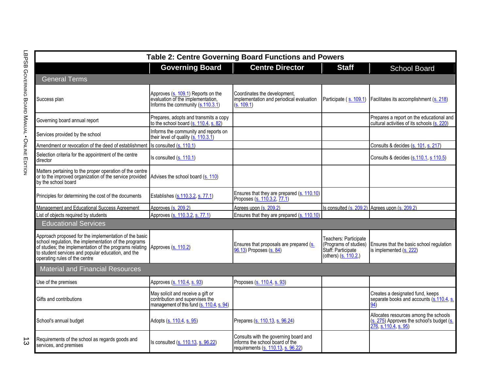|                                               | <b>Table 2: Centre Governing Board Functions and Powers</b>                                                                                                                                                                                                      |                                                                                                                   |                                                                                                                |                                                                                              |                                                                                                         |
|-----------------------------------------------|------------------------------------------------------------------------------------------------------------------------------------------------------------------------------------------------------------------------------------------------------------------|-------------------------------------------------------------------------------------------------------------------|----------------------------------------------------------------------------------------------------------------|----------------------------------------------------------------------------------------------|---------------------------------------------------------------------------------------------------------|
|                                               |                                                                                                                                                                                                                                                                  | <b>Governing Board</b>                                                                                            | <b>Centre Director</b>                                                                                         | <b>Staff</b>                                                                                 | <b>School Board</b>                                                                                     |
|                                               | <b>General Terms</b>                                                                                                                                                                                                                                             |                                                                                                                   |                                                                                                                |                                                                                              |                                                                                                         |
| LBPSB GOVERNING BOARD MANUAL • ONLINE EDITION | Success plan                                                                                                                                                                                                                                                     | Approves (s. 109.1) Reports on the<br>evaluation of the implementation,<br>Informs the community (s.110.3.1)      | Coordinates the development,<br>implementation and periodical evaluation<br>(s. 109.1)                         | Participate (s. 109.1)                                                                       | Facilitates its accomplishment (s. 218)                                                                 |
|                                               | Governing board annual report                                                                                                                                                                                                                                    | Prepares, adopts and transmits a copy<br>to the school board (s. 110.4, s. 82)                                    |                                                                                                                |                                                                                              | Prepares a report on the educational and<br>cultural activities of its schools (s. 220)                 |
|                                               | Services provided by the school                                                                                                                                                                                                                                  | Informs the community and reports on<br>their level of quality (s. 110.3.1)                                       |                                                                                                                |                                                                                              |                                                                                                         |
|                                               | Amendment or revocation of the deed of establishment                                                                                                                                                                                                             | Is consulted (s. 110.1)                                                                                           |                                                                                                                |                                                                                              | Consults & decides (s. 101, s. 217)                                                                     |
|                                               | Selection criteria for the appointment of the centre<br>director                                                                                                                                                                                                 | Is consulted $(s. 110.1)$                                                                                         |                                                                                                                |                                                                                              | Consults & decides (s.110.1, s 110.5)                                                                   |
|                                               | Matters pertaining to the proper operation of the centre<br>or to the improved organization of the service provided<br>by the school board                                                                                                                       | Advises the school board (s. 110)                                                                                 |                                                                                                                |                                                                                              |                                                                                                         |
|                                               | Principles for determining the cost of the documents                                                                                                                                                                                                             | Establishes (s.110.3.2, s. 77.1)                                                                                  | Ensures that they are prepared (s. 110.10)<br>Proposes (s. 110.3.2, 77.1)                                      |                                                                                              |                                                                                                         |
|                                               | Management and Educational Success Agreement                                                                                                                                                                                                                     | Approves (s. 209.2)                                                                                               | Agrees upon (s. 209.2)                                                                                         |                                                                                              | Is consulted $(s, 209.2)$ Agrees upon $(s, 209.2)$                                                      |
|                                               | List of objects required by students                                                                                                                                                                                                                             | Approves (s. 110.3.2, s. 77.1)                                                                                    | Ensures that they are prepared (s. 110.10)                                                                     |                                                                                              |                                                                                                         |
|                                               | <b>Educational Services</b>                                                                                                                                                                                                                                      |                                                                                                                   |                                                                                                                |                                                                                              |                                                                                                         |
|                                               | Approach proposed for the implementation of the basic<br>school regulation, the implementation of the programs<br>of studies; the implementation of the programs relating<br>to student services and popular education, and the<br>operating rules of the centre | Approves (s. 110.2)                                                                                               | Ensures that proposals are prepared (s.<br>96.13) Proposes (s. 84)                                             | Teachers: Participate<br>(Programs of studies)<br>Staff: Participate<br>(others) (s. 110.2,) | Ensures that the basic school regulation<br>is implemented (s. 222)                                     |
|                                               | <b>Material and Financial Resources</b>                                                                                                                                                                                                                          |                                                                                                                   |                                                                                                                |                                                                                              |                                                                                                         |
|                                               | Use of the premises                                                                                                                                                                                                                                              | Approves (s. 110.4, s. 93)                                                                                        | Proposes (s. 110.4, s. 93)                                                                                     |                                                                                              |                                                                                                         |
|                                               | Gifts and contributions                                                                                                                                                                                                                                          | May solicit and receive a gift or<br>contribution and supervises the<br>management of this fund (s. 110.4, s. 94) |                                                                                                                |                                                                                              | Creates a designated fund, keeps<br>separate books and accounts (s.110.4, s.                            |
|                                               | School's annual budget                                                                                                                                                                                                                                           | Adopts (s. 110.4, s. 95)                                                                                          | Prepares (s. 110.13, s. 96.24)                                                                                 |                                                                                              | Allocates resources among the schools<br>(s. 275) Approves the school's budget (s. 276, s.110.4, s. 95) |
| ದ                                             | Requirements of the school as regards goods and<br>services, and premises                                                                                                                                                                                        | Is consulted (s. 110.13, s. 96.22)                                                                                | Consults with the governing board and<br>informs the school board of the<br>requirements (s. 110.13, s. 96.22) |                                                                                              |                                                                                                         |